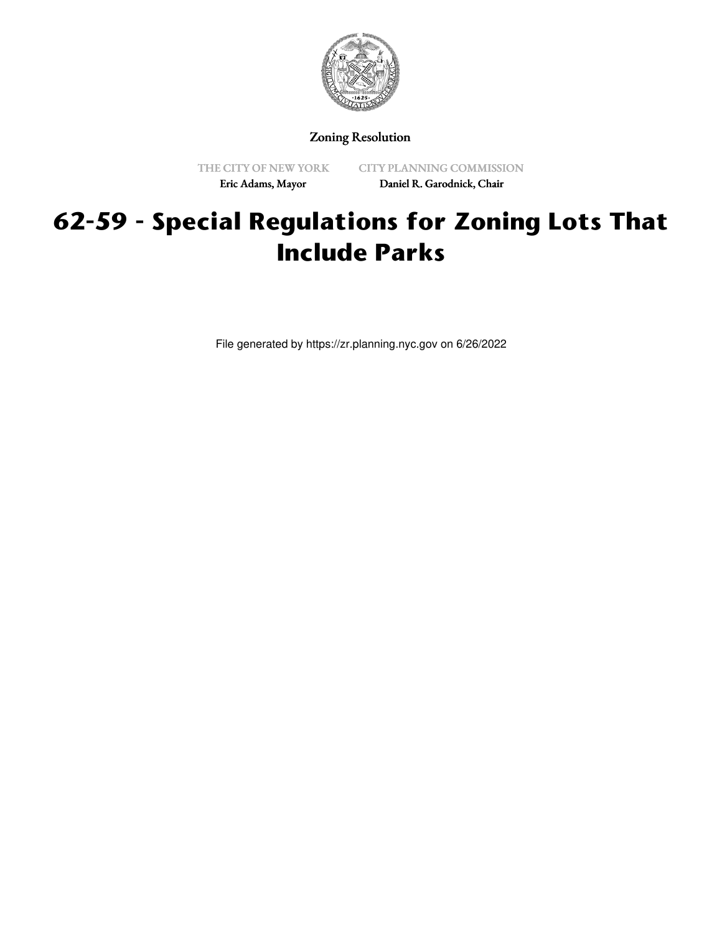

Zoning Resolution

THE CITY OF NEW YORK Eric Adams, Mayor

CITY PLANNING COMMISSION Daniel R. Garodnick, Chair

## **62-59 - Special Regulations for Zoning Lots That Include Parks**

File generated by https://zr.planning.nyc.gov on 6/26/2022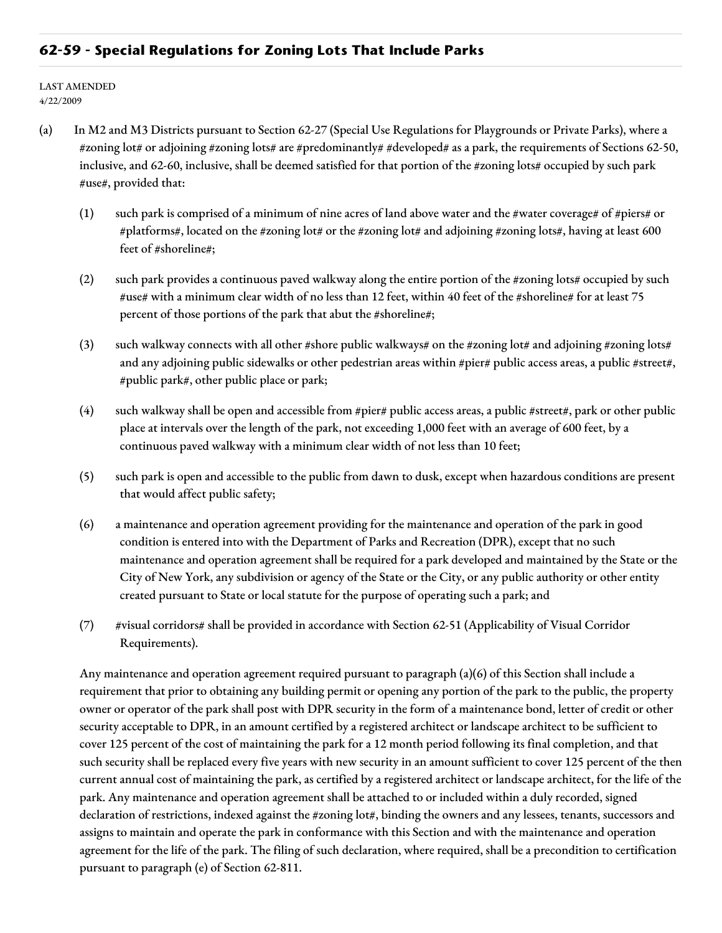## **62-59 - Special Regulations for Zoning Lots That Include Parks**

LAST AMENDED 4/22/2009

- (a) In M2 and M3 Districts pursuant to Section 62-27 (Special Use Regulations for Playgrounds or Private Parks), where a #zoning lot# or adjoining #zoning lots# are #predominantly# #developed# as a park, the requirements of Sections 62-50, inclusive, and 62-60, inclusive, shall be deemed satisfied for that portion of the #zoning lots# occupied by such park #use#, provided that:
	- (1) such park is comprised of a minimum of nine acres of land above water and the #water coverage# of #piers# or #platforms#, located on the #zoning lot# or the #zoning lot# and adjoining #zoning lots#, having at least 600 feet of #shoreline#;
	- (2) such park provides a continuous paved walkway along the entire portion of the #zoning lots# occupied by such #use# with a minimum clear width of no less than 12 feet, within 40 feet of the #shoreline# for at least 75 percent of those portions of the park that abut the #shoreline#;
	- (3) such walkway connects with all other #shore public walkways# on the #zoning lot# and adjoining #zoning lots# and any adjoining public sidewalks or other pedestrian areas within #pier# public access areas, a public #street#, #public park#, other public place or park;
	- (4) such walkway shall be open and accessible from #pier# public access areas, a public #street#, park or other public place at intervals over the length of the park, not exceeding 1,000 feet with an average of 600 feet, by a continuous paved walkway with a minimum clear width of not less than 10 feet;
	- (5) such park is open and accessible to the public from dawn to dusk, except when hazardous conditions are present that would affect public safety;
	- (6) a maintenance and operation agreement providing for the maintenance and operation of the park in good condition is entered into with the Department of Parks and Recreation (DPR), except that no such maintenance and operation agreement shall be required for a park developed and maintained by the State or the City of New York, any subdivision or agency of the State or the City, or any public authority or other entity created pursuant to State or local statute for the purpose of operating such a park; and
	- (7) #visual corridors# shall be provided in accordance with Section 62-51 (Applicability of Visual Corridor Requirements).

Any maintenance and operation agreement required pursuant to paragraph (a)(6) of this Section shall include a requirement that prior to obtaining any building permit or opening any portion of the park to the public, the property owner or operator of the park shall post with DPR security in the form of a maintenance bond, letter of credit or other security acceptable to DPR, in an amount certified by a registered architect or landscape architect to be sufficient to cover 125 percent of the cost of maintaining the park for a 12 month period following its final completion, and that such security shall be replaced every five years with new security in an amount sufficient to cover 125 percent of the then current annual cost of maintaining the park, as certified by a registered architect or landscape architect, for the life of the park. Any maintenance and operation agreement shall be attached to or included within a duly recorded, signed declaration of restrictions, indexed against the #zoning lot#, binding the owners and any lessees, tenants, successors and assigns to maintain and operate the park in conformance with this Section and with the maintenance and operation agreement for the life of the park. The filing of such declaration, where required, shall be a precondition to certification pursuant to paragraph (e) of Section 62-811.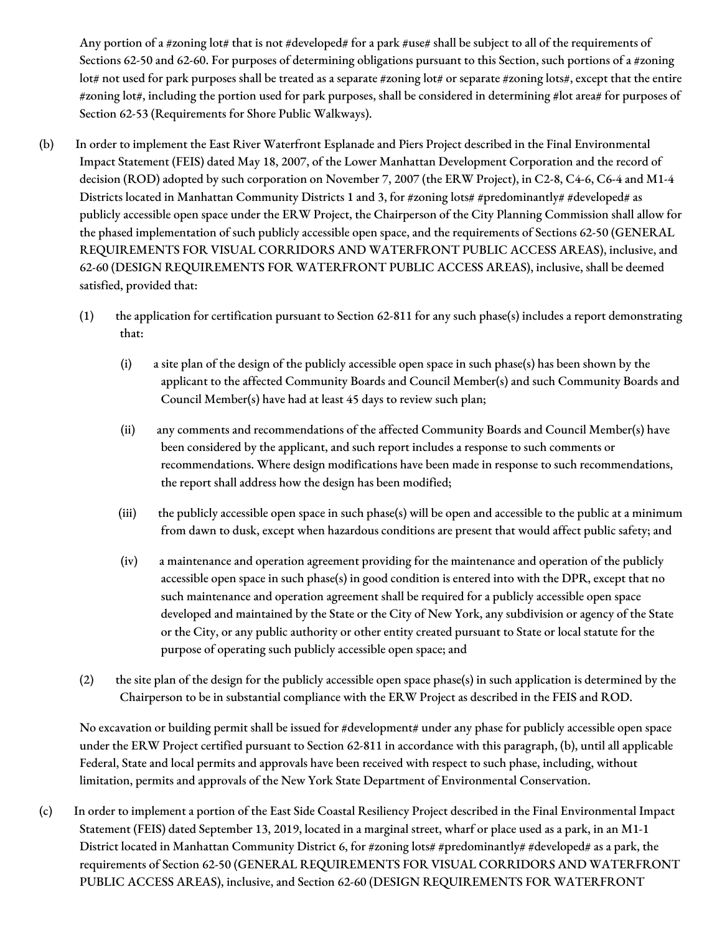Any portion of a #zoning lot# that is not #developed# for a park #use# shall be subject to all of the requirements of Sections 62-50 and 62-60. For purposes of determining obligations pursuant to this Section, such portions of a #zoning lot# not used for park purposes shall be treated as a separate #zoning lot# or separate #zoning lots#, except that the entire #zoning lot#, including the portion used for park purposes, shall be considered in determining #lot area# for purposes of Section 62-53 (Requirements for Shore Public Walkways).

- (b) In order to implement the East River Waterfront Esplanade and Piers Project described in the Final Environmental Impact Statement (FEIS) dated May 18, 2007, of the Lower Manhattan Development Corporation and the record of decision (ROD) adopted by such corporation on November 7, 2007 (the ERW Project), in C2-8, C4-6, C6-4 and M1-4 Districts located in Manhattan Community Districts 1 and 3, for #zoning lots# #predominantly# #developed# as publicly accessible open space under the ERW Project, the Chairperson of the City Planning Commission shall allow for the phased implementation of such publicly accessible open space, and the requirements of Sections 62-50 (GENERAL REQUIREMENTS FOR VISUAL CORRIDORS AND WATERFRONT PUBLIC ACCESS AREAS), inclusive, and 62-60 (DESIGN REQUIREMENTS FOR WATERFRONT PUBLIC ACCESS AREAS), inclusive, shall be deemed satisfied, provided that:
	- (1) the application for certification pursuant to Section 62-811 for any such phase(s) includes a report demonstrating that:
		- (i) a site plan of the design of the publicly accessible open space in such phase(s) has been shown by the applicant to the affected Community Boards and Council Member(s) and such Community Boards and Council Member(s) have had at least 45 days to review such plan;
		- (ii) any comments and recommendations of the affected Community Boards and Council Member(s) have been considered by the applicant, and such report includes a response to such comments or recommendations. Where design modifications have been made in response to such recommendations, the report shall address how the design has been modified;
		- (iii) the publicly accessible open space in such phase(s) will be open and accessible to the public at a minimum from dawn to dusk, except when hazardous conditions are present that would affect public safety; and
		- (iv) a maintenance and operation agreement providing for the maintenance and operation of the publicly accessible open space in such phase(s) in good condition is entered into with the DPR, except that no such maintenance and operation agreement shall be required for a publicly accessible open space developed and maintained by the State or the City of New York, any subdivision or agency of the State or the City, or any public authority or other entity created pursuant to State or local statute for the purpose of operating such publicly accessible open space; and
	- (2) the site plan of the design for the publicly accessible open space phase(s) in such application is determined by the Chairperson to be in substantial compliance with the ERW Project as described in the FEIS and ROD.

No excavation or building permit shall be issued for #development# under any phase for publicly accessible open space under the ERW Project certified pursuant to Section 62-811 in accordance with this paragraph, (b), until all applicable Federal, State and local permits and approvals have been received with respect to such phase, including, without limitation, permits and approvals of the New York State Department of Environmental Conservation.

(c) In order to implement a portion of the East Side Coastal Resiliency Project described in the Final Environmental Impact Statement (FEIS) dated September 13, 2019, located in a marginal street, wharf or place used as a park, in an M1-1 District located in Manhattan Community District 6, for #zoning lots# #predominantly# #developed# as a park, the requirements of Section 62-50 (GENERAL REQUIREMENTS FOR VISUAL CORRIDORS AND WATERFRONT PUBLIC ACCESS AREAS), inclusive, and Section 62-60 (DESIGN REQUIREMENTS FOR WATERFRONT